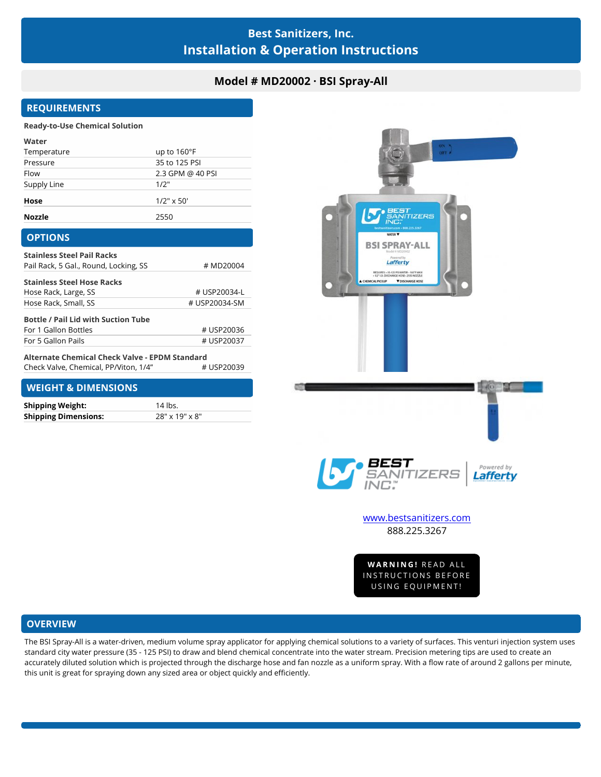# **Best Sanitizers, Inc. Installation & Operation Instructions**

# **Model # MD20002 · BSI Spray-All**

# **REQUIREMENTS**

#### **Ready-to-Use Chemical Solution**

| Water         |                      |
|---------------|----------------------|
| Temperature   | up to $160^{\circ}F$ |
| Pressure      | 35 to 125 PSI        |
| Flow          | 2.3 GPM @ 40 PSI     |
| Supply Line   | 1/2"                 |
| Hose          | $1/2$ " x 50'        |
| <b>Nozzle</b> | 2550                 |

#### **OPTIONS**

| <b>Stainless Steel Pail Racks</b>          |               |
|--------------------------------------------|---------------|
| Pail Rack, 5 Gal., Round, Locking, SS      | # MD20004     |
| <b>Stainless Steel Hose Racks</b>          |               |
| Hose Rack, Large, SS                       | # USP20034-L  |
| Hose Rack, Small, SS                       | # USP20034-SM |
| <b>Bottle / Pail Lid with Suction Tube</b> |               |
| For 1 Gallon Bottles                       | # USP20036    |
| For 5 Gallon Pails                         | # USP20037    |
|                                            |               |

# USP20039 **Alternate Chemical Check Valve - EPDM Standard** Check Valve, Chemical, PP/Viton, 1/4"

## **WEIGHT & DIMENSIONS**

| <b>Shipping Weight:</b>     | 14 lbs.        |
|-----------------------------|----------------|
| <b>Shipping Dimensions:</b> | 28" x 19" x 8" |



888.225.3267

WW.Destsanitizers.com<br>888.225.3267<br>WARNING! READ ALL<br>NSTRUCTIONS BEFORE 888.225.3267<br>WARNING! READ ALL<br>INSTRUCTIONS BEFORE<br>USING EQUIPMENT! **VARNING!** READ ALL<br>STRUCTIONS BEFORE<br>USING EQUIPMENT!

### **OVERVIEW**

The BSI Spray-All is a water-driven, medium volume spray applicator for applying chemical solutions to a variety of surfaces. This venturi injection system uses standard city water pressure (35 - 125 PSI) to draw and blend chemical concentrate into the water stream. Precision metering tips are used to create an accurately diluted solution which is projected through the discharge hose and fan nozzle as a uniform spray. With a flow rate of around 2 gallons per minute, this unit is great for spraying down any sized area or object quickly and efficiently.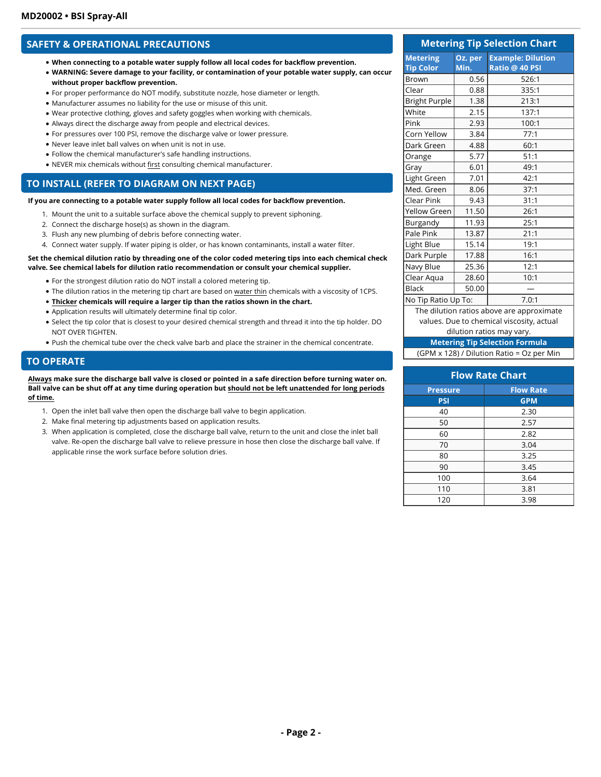### **SAFETY & OPERATIONAL PRECAUTIONS**

- **When connecting to a potable water supply follow all local codes for backflow prevention.**
- **WARNING: Severe damage to your facility, or contamination of your potable water supply, can occur without proper backflow prevention.**
- For proper performance do NOT modify, substitute nozzle, hose diameter or length.
- Manufacturer assumes no liability for the use or misuse of this unit.
- Wear protective clothing, gloves and safety goggles when working with chemicals.
- Always direct the discharge away from people and electrical devices.
- For pressures over 100 PSI, remove the discharge valve or lower pressure.
- Never leave inlet ball valves on when unit is not in use.
- Follow the chemical manufacturer's safe handling instructions.
- NEVER mix chemicals without first consulting chemical manufacturer.

#### **TO INSTALL (REFER TO DIAGRAM ON NEXT PAGE)**

**If you are connecting to a potable water supply follow all local codes for backflow prevention.** 

- 1. Mount the unit to a suitable surface above the chemical supply to prevent siphoning.
- 2. Connect the discharge hose(s) as shown in the diagram.
- 3. Flush any new plumbing of debris before connecting water.
- 4. Connect water supply. If water piping is older, or has known contaminants, install a water filter.

#### **Set the chemical dilution ratio by threading one of the color coded metering tips into each chemical check valve. See chemical labels for dilution ratio recommendation or consult your chemical supplier.**

- For the strongest dilution ratio do NOT install a colored metering tip.
- The dilution ratios in the metering tip chart are based on water thin chemicals with a viscosity of 1CPS.
- **Thicker chemicals will require a larger tip than the ratios shown in the chart.**
- Application results will ultimately determine final tip color.
- Select the tip color that is closest to your desired chemical strength and thread it into the tip holder. DO NOT OVER TIGHTEN.
- Push the chemical tube over the check valve barb and place the strainer in the chemical concentrate.

#### **TO OPERATE**

**Always make sure the discharge ball valve is closed or pointed in a safe direction before turning water on. Ball valve can be shut off at any time during operation but should not be left unattended for long periods of time.**

- 1. Open the inlet ball valve then open the discharge ball valve to begin application.
- 2. Make final metering tip adjustments based on application results.
- 3. When application is completed, close the discharge ball valve, return to the unit and close the inlet ball valve. Re-open the discharge ball valve to relieve pressure in hose then close the discharge ball valve. If applicable rinse the work surface before solution dries.

| <b>Metering Tip Selection Chart</b> |                 |                                            |
|-------------------------------------|-----------------|--------------------------------------------|
| <b>Metering</b><br><b>Tip Color</b> | Oz. per<br>Min. | <b>Example: Dilution</b><br>Ratio @ 40 PSI |
| <b>Brown</b>                        | 0.56            | 526:1                                      |
| Clear                               | 0.88            | 335:1                                      |
| <b>Bright Purple</b>                | 1.38            | 213:1                                      |
| White                               | 2.15            | 137:1                                      |
| Pink                                | 2.93            | 100:1                                      |
| Corn Yellow                         | 3.84            | 77:1                                       |
| Dark Green                          | 4.88            | 60:1                                       |
| Orange                              | 5.77            | 51:1                                       |
| Gray                                | 6.01            | 49:1                                       |
| Light Green                         | 7.01            | 42:1                                       |
| Med. Green                          | 8.06            | 37:1                                       |
| Clear Pink                          | 9.43            | 31:1                                       |
| <b>Yellow Green</b>                 | 11.50           | 26:1                                       |
| Burgandy                            | 11.93           | 25:1                                       |
| Pale Pink                           | 13.87           | 21:1                                       |
| Light Blue                          | 15.14           | 19:1                                       |
| Dark Purple                         | 17.88           | 16:1                                       |
| Navy Blue                           | 25.36           | 12:1                                       |
| Clear Aqua                          | 28.60           | 10:1                                       |
| <b>Black</b>                        | 50.00           |                                            |
| No Tip Ratio Up To:                 |                 | 7.0:1                                      |
|                                     |                 | The dilution ratios above are approximate  |

values. Due to chemical viscosity, actual

### dilution ratios may vary.

**Metering Tip Selection Formula** (GPM x 128) / Dilution Ratio = Oz per Min

| <b>Flow Rate Chart</b> |                  |  |
|------------------------|------------------|--|
| <b>Pressure</b>        | <b>Flow Rate</b> |  |
| <b>PSI</b>             | <b>GPM</b>       |  |
| 40                     | 2.30             |  |
| 50                     | 2.57             |  |
| 60                     | 2.82             |  |
| 70                     | 3.04             |  |
| 80                     | 3.25             |  |
| 90                     | 3.45             |  |
| 100                    | 3.64             |  |
| 110                    | 3.81             |  |
| 120                    | 3.98             |  |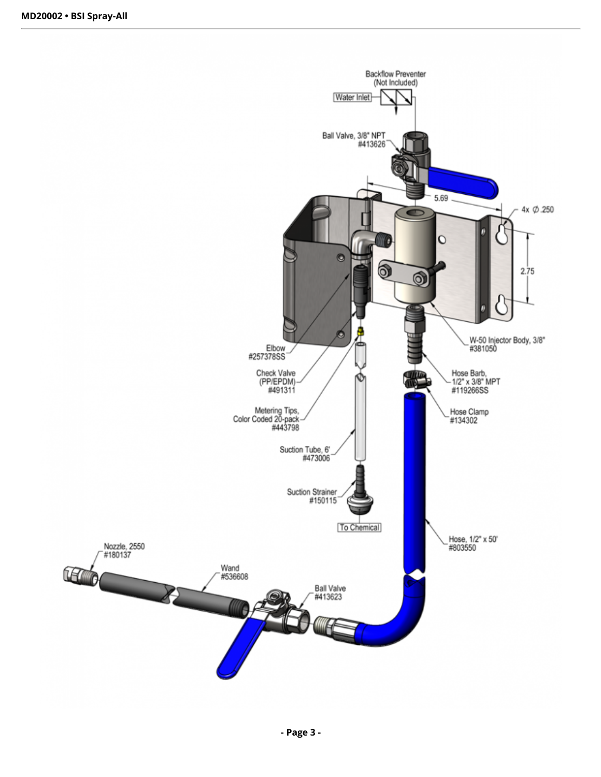